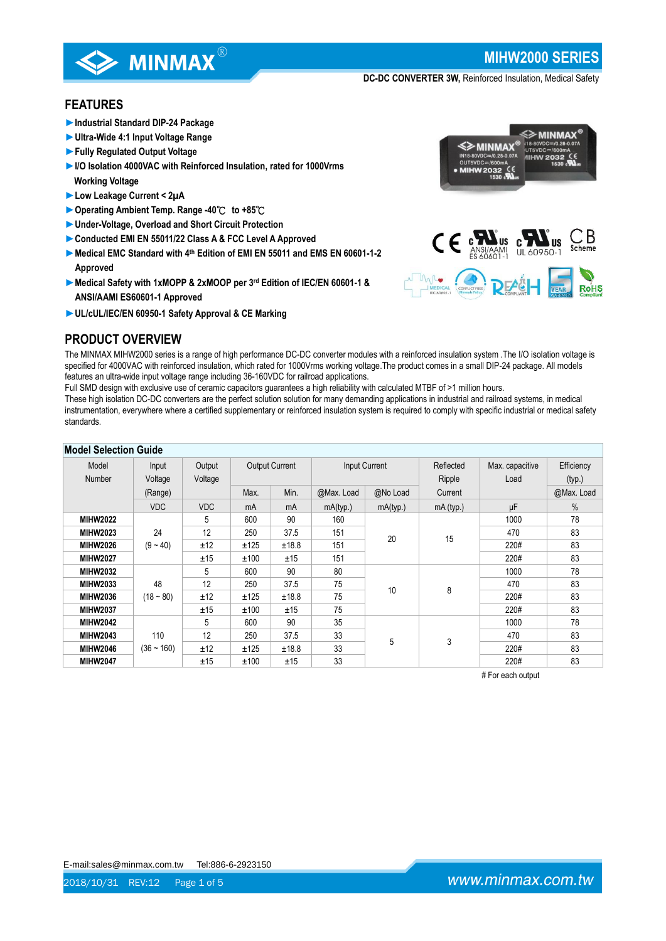

**MIHW2000 SERIES**

≶≥ MINMAX

**DC-DC CONVERTER 3W,** Reinforced Insulation, Medical Safety

≼≽мıнмах

# **FEATURES**

- ►**Industrial Standard DIP-24 Package**
- ►**Ultra-Wide 4:1 Input Voltage Range**
- ►**Fully Regulated Output Voltage**
- ►**I/O Isolation 4000VAC with Reinforced Insulation, rated for 1000Vrms Working Voltage**
- ►**Low Leakage Current < 2µA**

**PRODUCT OVERVIEW**

- ►**Operating Ambient Temp. Range -40**℃ **to +85**℃
- ►**Under-Voltage, Overload and Short Circuit Protection**
- ►**Conducted EMI EN 55011/22 Class A & FCC Level A Approved**
- ▶ Medical EMC Standard with 4<sup>th</sup> Edition of EMI EN 55011 and EMS EN 60601-1-2 **Approved**
- ►**Medical Safety with 1xMOPP & 2xMOOP per 3rd Edition of IEC/EN 60601-1 & ANSI/AAMI ES60601-1 Approved**
- ►**UL/cUL/IEC/EN 60950-1 Safety Approval & CE Marking**

# $\mathsf{C}\in \mathbf{M}^{\text{NSUM}}_{\text{ANSUMAL}}$



The MINMAX MIHW2000 series is a range of high performance DC-DC converter modules with a reinforced insulation system .The I/O isolation voltage is specified for 4000VAC with reinforced insulation, which rated for 1000Vrms working voltage.The product comes in a small DIP-24 package. All models features an ultra-wide input voltage range including 36-160VDC for railroad applications.

Full SMD design with exclusive use of ceramic capacitors guarantees a high reliability with calculated MTBF of >1 million hours.

These high isolation DC-DC converters are the perfect solution solution for many demanding applications in industrial and railroad systems, in medical instrumentation, everywhere where a certified supplementary or reinforced insulation system is required to comply with specific industrial or medical safety standards.

| <b>Model Selection Guide</b> |              |            |                       |       |               |          |           |                 |            |
|------------------------------|--------------|------------|-----------------------|-------|---------------|----------|-----------|-----------------|------------|
| Model                        | Input        | Output     | <b>Output Current</b> |       | Input Current |          | Reflected | Max. capacitive | Efficiency |
| Number                       | Voltage      | Voltage    |                       |       |               |          | Ripple    | Load            | (typ.)     |
|                              | (Range)      |            | Max.                  | Min.  | @Max. Load    | @No Load | Current   |                 | @Max. Load |
|                              | <b>VDC</b>   | <b>VDC</b> | mA                    | mA    | mA(typ.)      | mA(typ.) | mA (typ.) | μF              | $\%$       |
| <b>MIHW2022</b>              |              | 5          | 600                   | 90    | 160           |          |           | 1000            | 78         |
| <b>MIHW2023</b>              | 24           | 12         | 250                   | 37.5  | 151           | 20       | 15        | 470             | 83         |
| <b>MIHW2026</b>              | $(9 - 40)$   | ±12        | ±125                  | ±18.8 | 151           |          |           | 220#            | 83         |
| <b>MIHW2027</b>              |              | ±15        | ±100                  | ±15   | 151           |          |           | 220#            | 83         |
| <b>MIHW2032</b>              |              | 5          | 600                   | 90    | 80            |          |           | 1000            | 78         |
| <b>MIHW2033</b>              | 48           | 12         | 250                   | 37.5  | 75            | 10       | 8         | 470             | 83         |
| <b>MIHW2036</b>              | $(18 - 80)$  | ±12        | ±125                  | ±18.8 | 75            |          |           | 220#            | 83         |
| <b>MIHW2037</b>              |              | ±15        | ±100                  | ±15   | 75            |          |           | 220#            | 83         |
| <b>MIHW2042</b>              |              | 5          | 600                   | 90    | 35            |          |           | 1000            | 78         |
| <b>MIHW2043</b>              | 110          | 12         | 250                   | 37.5  | 33            | 5        | 3         | 470             | 83         |
| <b>MIHW2046</b>              | $(36 - 160)$ | ±12        | ±125                  | ±18.8 | 33            |          |           | 220#            | 83         |
| <b>MIHW2047</b>              |              | ±15        | ±100                  | ±15   | 33            |          |           | 220#            | 83         |

# For each output

E-mail:sales@minmax.com.tw Tel:886-6-2923150

www.minmax.com.tw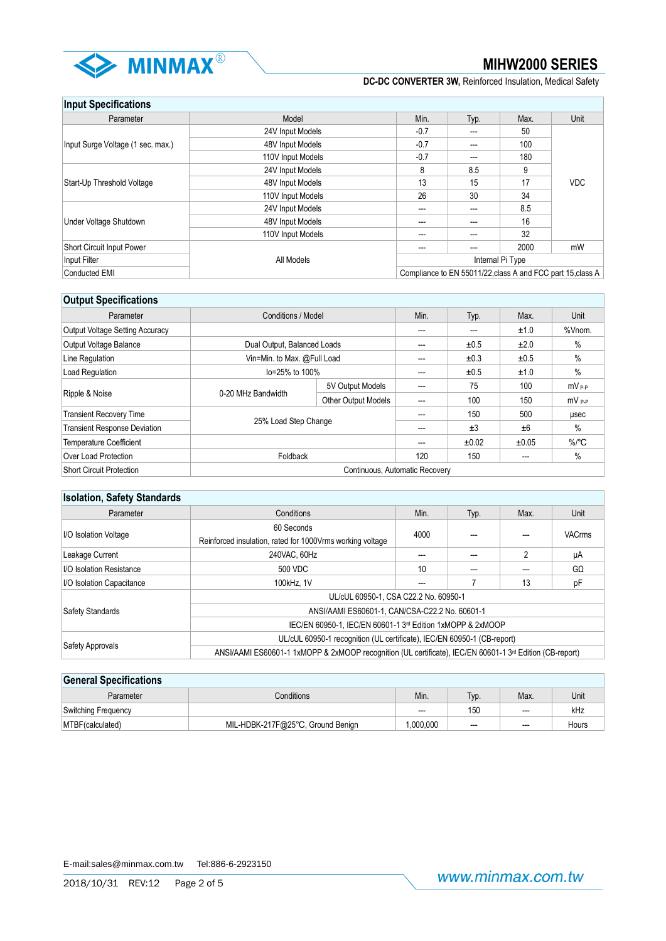

# **Input Specifications**

| Parameter                         | Model             | Min.             | Typ. | Max. | Unit                                                      |
|-----------------------------------|-------------------|------------------|------|------|-----------------------------------------------------------|
|                                   | 24V Input Models  | $-0.7$           | ---  | 50   |                                                           |
| Input Surge Voltage (1 sec. max.) | 48V Input Models  | $-0.7$           | ---  | 100  |                                                           |
|                                   | 110V Input Models | $-0.7$           | ---  | 180  |                                                           |
|                                   | 24V Input Models  | 8                | 8.5  | 9    |                                                           |
| Start-Up Threshold Voltage        | 48V Input Models  | 13               | 15   | 17   | <b>VDC</b>                                                |
|                                   | 110V Input Models | 26               | 30   | 34   |                                                           |
|                                   | 24V Input Models  | ---              | ---  | 8.5  |                                                           |
| Under Voltage Shutdown            | 48V Input Models  | ---              | ---  | 16   |                                                           |
|                                   | 110V Input Models | ---              | ---  | 32   |                                                           |
| Short Circuit Input Power         |                   |                  | ---  | 2000 | mW                                                        |
| Input Filter                      | All Models        | Internal Pi Type |      |      |                                                           |
| Conducted EMI                     |                   |                  |      |      | Compliance to EN 55011/22 class A and FCC part 15 class A |

# **Output Specifications**

| Parameter                              | Conditions / Model             |                            |     | Typ.  | Max.  | Unit                |
|----------------------------------------|--------------------------------|----------------------------|-----|-------|-------|---------------------|
| <b>Output Voltage Setting Accuracy</b> |                                |                            | --- | ---   | ±1.0  | %Vnom.              |
| Output Voltage Balance                 | Dual Output, Balanced Loads    |                            | --- | ±0.5  | ±2.0  | %                   |
| Line Regulation                        | Vin=Min. to Max. @Full Load    |                            | --- | ±0.3  | ±0.5  | $\%$                |
| Load Regulation                        | lo=25% to 100%                 |                            | --- | ±0.5  | ±1.0  | %                   |
|                                        | 0-20 MHz Bandwidth             | 5V Output Models           | --- | 75    | 100   | mV P-P              |
| Ripple & Noise                         |                                | <b>Other Output Models</b> | --- | 100   | 150   | $mv_{PP}$           |
| <b>Transient Recovery Time</b>         | 25% Load Step Change           |                            | --- | 150   | 500   | usec                |
| <b>Transient Response Deviation</b>    |                                |                            | --- | ±3    | ±6    | %                   |
| <b>Temperature Coefficient</b>         |                                |                            | --- | ±0.02 | ±0.05 | $\%$ <sup>o</sup> C |
| Over Load Protection                   | Foldback                       |                            | 120 | 150   | ---   | %                   |
| Short Circuit Protection               | Continuous, Automatic Recovery |                            |     |       |       |                     |

# **Isolation, Safety Standards**

| Parameter                       | Conditions                                                                                                           | Min. | Typ. | Max. | Unit          |  |  |
|---------------------------------|----------------------------------------------------------------------------------------------------------------------|------|------|------|---------------|--|--|
| I/O Isolation Voltage           | 60 Seconds<br>Reinforced insulation, rated for 1000Vrms working voltage                                              | 4000 |      |      | <b>VACrms</b> |  |  |
| Leakage Current                 | 240VAC, 60Hz                                                                                                         |      |      |      | μA            |  |  |
| <b>I/O Isolation Resistance</b> | 500 VDC                                                                                                              | 10   |      |      | GΩ            |  |  |
| I/O Isolation Capacitance       | 100kHz. 1V                                                                                                           | ---  |      | 13   | рF            |  |  |
|                                 | UL/cUL 60950-1, CSA C22.2 No. 60950-1                                                                                |      |      |      |               |  |  |
| Safety Standards                | ANSI/AAMI ES60601-1, CAN/CSA-C22.2 No. 60601-1                                                                       |      |      |      |               |  |  |
|                                 | IEC/EN 60950-1, IEC/EN 60601-1 3 <sup>rd</sup> Edition 1xMOPP & 2xMOOP                                               |      |      |      |               |  |  |
| Safety Approvals                | UL/cUL 60950-1 recognition (UL certificate), IEC/EN 60950-1 (CB-report)                                              |      |      |      |               |  |  |
|                                 | ANSI/AAMI ES60601-1 1xMOPP & 2xMOOP recognition (UL certificate), IEC/EN 60601-1 3 <sup>rd</sup> Edition (CB-report) |      |      |      |               |  |  |

# **General Specifications**

| Parameter           | Conditions                        | Min.     | $TVD$ . | Max.                     | Unit  |  |
|---------------------|-----------------------------------|----------|---------|--------------------------|-------|--|
| Switching Frequency |                                   | $---$    | 150     | $\hspace{0.05cm} \cdots$ | kHz   |  |
| MTBF (calculated)   | MIL-HDBK-217F@25°C, Ground Benign | .000.000 | $- - -$ | $--$                     | Hours |  |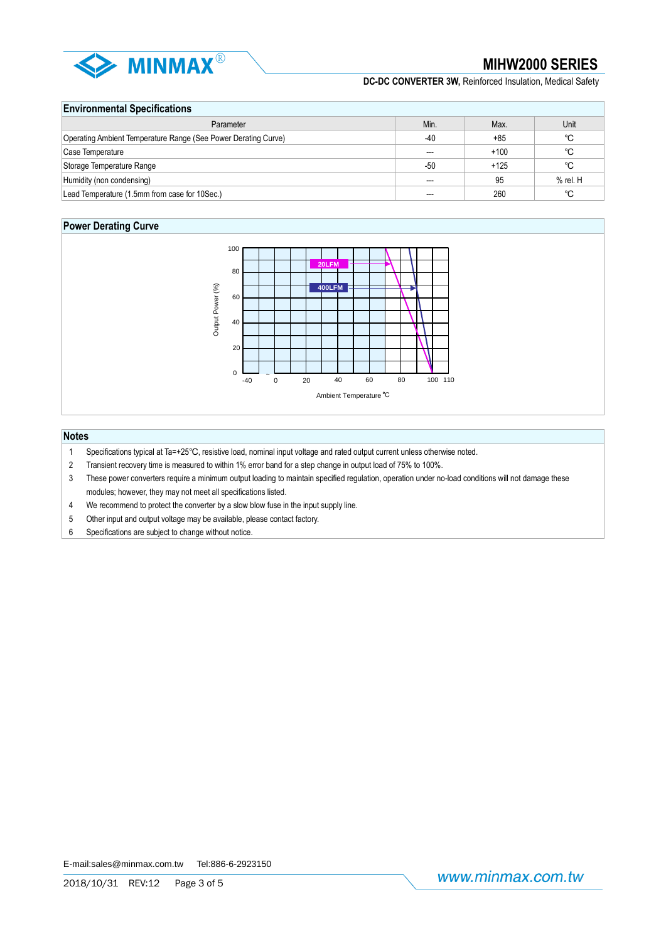

# **Environmental Specifications**

| Parameter                                                      | Min.  | Max.   | Unit       |  |  |
|----------------------------------------------------------------|-------|--------|------------|--|--|
| Operating Ambient Temperature Range (See Power Derating Curve) | $-40$ | $+85$  | °C         |  |  |
| Case Temperature                                               | $---$ | $+100$ | °C         |  |  |
| Storage Temperature Range                                      | -50   | $+125$ | °C         |  |  |
| Humidity (non condensing)                                      | $---$ | 95     | $%$ rel. H |  |  |
| Lead Temperature (1.5mm from case for 10Sec.)                  | $---$ | 260    | °C         |  |  |

# **Power Derating Curve**



# **Notes**

- 1 Specifications typical at Ta=+25℃, resistive load, nominal input voltage and rated output current unless otherwise noted.
- 2 Transient recovery time is measured to within 1% error band for a step change in output load of 75% to 100%.
- 3 These power converters require a minimum output loading to maintain specified regulation, operation under no-load conditions will not damage these modules; however, they may not meet all specifications listed.
- 4 We recommend to protect the converter by a slow blow fuse in the input supply line.
- 5 Other input and output voltage may be available, please contact factory.
- 6 Specifications are subject to change without notice.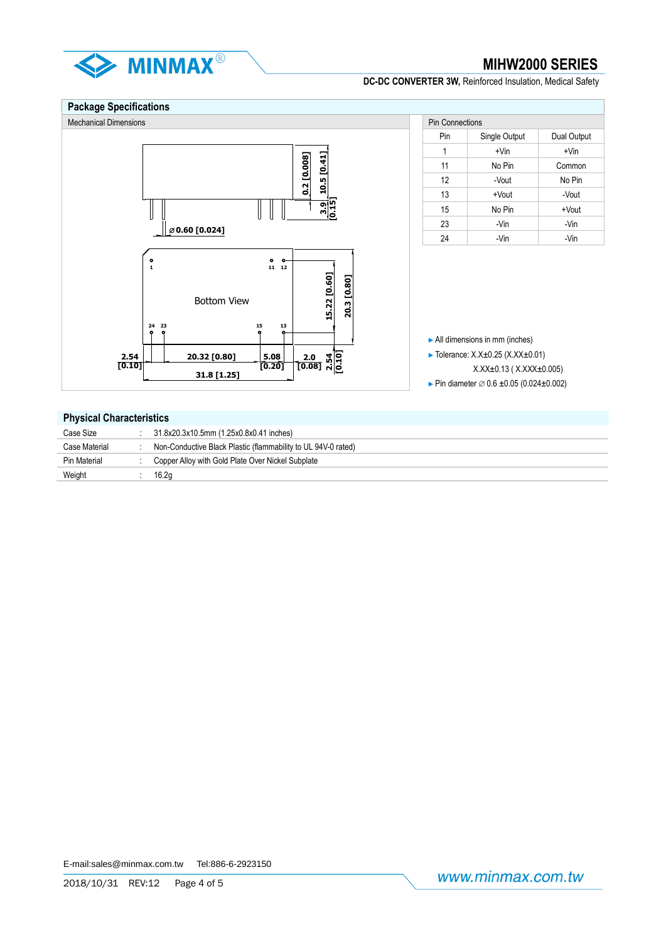

# **Package Specifications**



# **Physical Characteristics**

| Case Size     | 31.8x20.3x10.5mm (1.25x0.8x0.41 inches)                       |
|---------------|---------------------------------------------------------------|
| Case Material | Non-Conductive Black Plastic (flammability to UL 94V-0 rated) |
| Pin Material  | Copper Alloy with Gold Plate Over Nickel Subplate             |
| Weight        | 16.2q                                                         |
|               |                                                               |